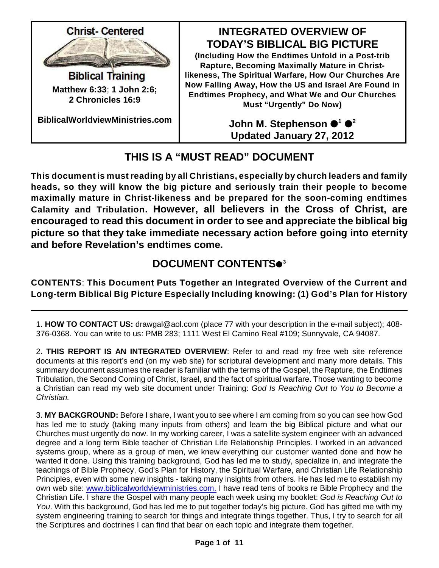

**Matthew 6:33**; **1 John 2:6; 2 Chronicles 16:9**

**BiblicalWorldviewMinistries.com**

### **INTEGRATED OVERVIEW OF TODAY'S BIBLICAL BIG PICTURE**

**(Including How the Endtimes Unfold in a Post-trib Rapture, Becoming Maximally Mature in Christlikeness, The Spiritual Warfare, How Our Churches Are Now Falling Away, How the US and Israel Are Found in Endtimes Prophecy, and What We and Our Churches Must "Urgently" Do Now)**

> **John M. Stephenson**  $\bullet^{\hbox{\tiny{1}}} \bullet^{\hbox{\tiny{2}}}$ **Updated January 27, 2012**

# **THIS IS A "MUST READ" DOCUMENT**

**This document is must reading by all Christians, especially by church leaders and family heads, so they will know the big picture and seriously train their people to become maximally mature in Christ-likeness and be prepared for the soon-coming endtimes Calamity and Tribulation. However, all believers in the Cross of Christ, are encouraged to read this document in order to see and appreciate the biblical big picture so that they take immediate necessary action before going into eternity and before Revelation's endtimes come.**

## **DOCUMENT CONTENTS 3**

**CONTENTS**: **This Document Puts Together an Integrated Overview of the Current and Long-term Biblical Big Picture Especially Including knowing: (1) God's Plan for History**

1. **HOW TO CONTACT US:** drawgal@aol.com (place 77 with your description in the e-mail subject); 408- 376-0368. You can write to us: PMB 283; 1111 West El Camino Real #109; Sunnyvale, CA 94087.

2**. THIS REPORT IS AN INTEGRATED OVERVIEW**: Refer to and read my free web site reference documents at this report's end (on my web site) for scriptural development and many more details. This summary document assumes the reader is familiar with the terms of the Gospel, the Rapture, the Endtimes Tribulation, the Second Coming of Christ, Israel, and the fact of spiritual warfare. Those wanting to become a Christian can read my web site document under Training: *God Is Reaching Out to You to Become a Christian.*

3. **MY BACKGROUND:** Before I share, I want you to see where I am coming from so you can see how God has led me to study (taking many inputs from others) and learn the big Biblical picture and what our Churches must urgently do now. In my working career, I was a satellite system engineer with an advanced degree and a long term Bible teacher of Christian Life Relationship Principles. I worked in an advanced systems group, where as a group of men, we knew everything our customer wanted done and how he wanted it done. Using this training background, God has led me to study, specialize in, and integrate the teachings of Bible Prophecy, God's Plan for History, the Spiritual Warfare, and Christian Life Relationship Principles, even with some new insights - taking many insights from others. He has led me to establish my own web site: [www.biblicalworldviewministries.com.](http://www.biblicalworldviewministries.com.) I have read tens of books re Bible Prophecy and the Christian Life. I share the Gospel with many people each week using my booklet: *God is Reaching Out to You*. With this background, God has led me to put together today's big picture. God has gifted me with my system engineering training to search for things and integrate things together. Thus, I try to search for all the Scriptures and doctrines I can find that bear on each topic and integrate them together.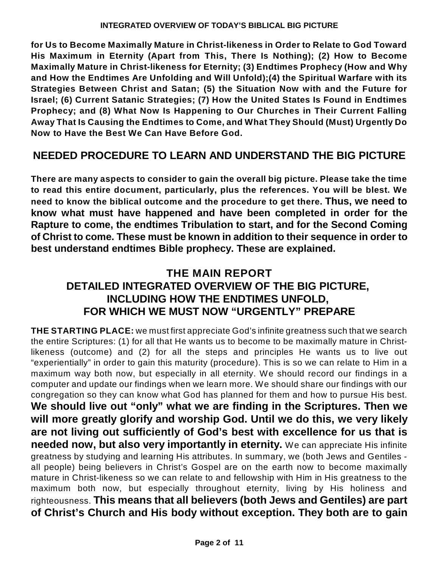**for Us to Become Maximally Mature in Christ-likeness in Order to Relate to God Toward His Maximum in Eternity (Apart from This, There Is Nothing); (2) How to Become Maximally Mature in Christ-likeness for Eternity; (3) Endtimes Prophecy (How and Why and How the Endtimes Are Unfolding and Will Unfold);(4) the Spiritual Warfare with its Strategies Between Christ and Satan; (5) the Situation Now with and the Future for Israel; (6) Current Satanic Strategies; (7) How the United States Is Found in Endtimes Prophecy; and (8) What Now Is Happening to Our Churches in Their Current Falling Away That Is Causing the Endtimes to Come, and What They Should (Must) Urgently Do Now to Have the Best We Can Have Before God.**

### **NEEDED PROCEDURE TO LEARN AND UNDERSTAND THE BIG PICTURE**

**There are many aspects to consider to gain the overall big picture. Please take the time to read this entire document, particularly, plus the references. You will be blest. We need to know the biblical outcome and the procedure to get there. Thus, we need to know what must have happened and have been completed in order for the Rapture to come, the endtimes Tribulation to start, and for the Second Coming of Christ to come. These must be known in addition to their sequence in order to best understand endtimes Bible prophecy. These are explained.**

### **THE MAIN REPORT DETAILED INTEGRATED OVERVIEW OF THE BIG PICTURE, INCLUDING HOW THE ENDTIMES UNFOLD, FOR WHICH WE MUST NOW "URGENTLY" PREPARE**

**THE STARTING PLACE:** we must first appreciate God's infinite greatness such that we search the entire Scriptures: (1) for all that He wants us to become to be maximally mature in Christlikeness (outcome) and (2) for all the steps and principles He wants us to live out "experientially" in order to gain this maturity (procedure). This is so we can relate to Him in a maximum way both now, but especially in all eternity. We should record our findings in a computer and update our findings when we learn more. We should share our findings with our congregation so they can know what God has planned for them and how to pursue His best. **We should live out "only" what we are finding in the Scriptures. Then we will more greatly glorify and worship God. Until we do this, we very likely are not living out sufficiently of God's best with excellence for us that is needed now, but also very importantly in eternity.** We can appreciate His infinite greatness by studying and learning His attributes. In summary, we (both Jews and Gentiles all people) being believers in Christ's Gospel are on the earth now to become maximally mature in Christ-likeness so we can relate to and fellowship with Him in His greatness to the maximum both now, but especially throughout eternity, living by His holiness and righteousness. **This means that all believers (both Jews and Gentiles) are part of Christ's Church and His body without exception. They both are to gain**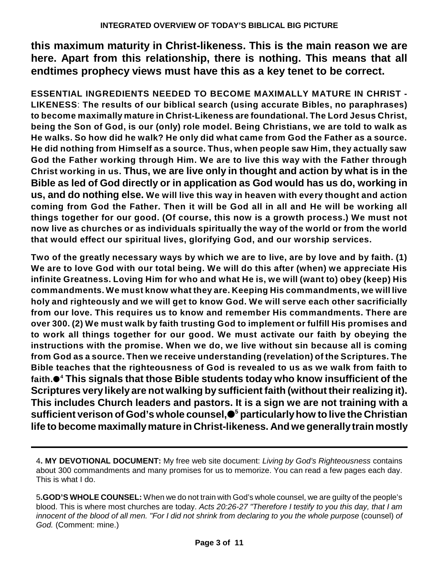**this maximum maturity in Christ-likeness. This is the main reason we are here. Apart from this relationship, there is nothing. This means that all endtimes prophecy views must have this as a key tenet to be correct.**

**ESSENTIAL INGREDIENTS NEEDED TO BECOME MAXIMALLY MATURE IN CHRIST - LIKENESS**: **The results of our biblical search (using accurate Bibles, no paraphrases) to become maximally mature in Christ-Likeness are foundational. The Lord Jesus Christ, being the Son of God, is our (only) role model. Being Christians, we are told to walk as He walks. So how did he walk? He only did what came from God the Father as a source. He did nothing from Himself as a source. Thus, when people saw Him, they actually saw God the Father working through Him. We are to live this way with the Father through Christ working in us. Thus, we are live only in thought and action by what is in the Bible as led of God directly or in application as God would has us do, working in us, and do nothing else. We will live this way in heaven with every thought and action coming from God the Father. Then it will be God all in all and He will be working all things together for our good. (Of course, this now is a growth process.) We must not now live as churches or as individuals spiritually the way of the world or from the world that would effect our spiritual lives, glorifying God, and our worship services.**

**Two of the greatly necessary ways by which we are to live, are by love and by faith. (1) We are to love God with our total being. We will do this after (when) we appreciate His infinite Greatness. Loving Him for who and what He is, we will (want to) obey (keep) His commandments. We must know what they are. Keeping His commandments, we will live holy and righteously and we will get to know God. We will serve each other sacrificially from our love. This requires us to know and remember His commandments. There are over 300. (2) We must walk by faith trusting God to implement or fulfill His promises and to work all things together for our good. We must activate our faith by obeying the instructions with the promise. When we do, we live without sin because all is coming from God as a source. Then we receive understanding (revelation) of the Scriptures. The Bible teaches that the righteousness of God is revealed to us as we walk from faith to faith. This signals that those Bible students today who know insufficient of the <sup>4</sup> Scriptures very likely are not walking by sufficient faith (without their realizing it). This includes Church leaders and pastors. It is a sign we are not training with a sufficient verison of God's whole counsel, particularlyhow to live the Christian <sup>5</sup> life to become maximallymature in Christ-likeness. And we generallytrain mostly**

<sup>4</sup>**. MY DEVOTIONAL DOCUMENT:** My free web site document: *Living by God's Righteousness* contains about 300 commandments and many promises for us to memorize. You can read a few pages each day. This is what I do.

<sup>5</sup>**.GOD'S WHOLE COUNSEL:** When we do not train with God's whole counsel, we are guilty of the people's blood. This is where most churches are today. *Acts 20:26-27 "Therefore I testify to you this day, that I am innocent of the blood of all men. "For I did not shrink from declaring to you the whole purpose* (counsel) *of God.* (Comment: mine.)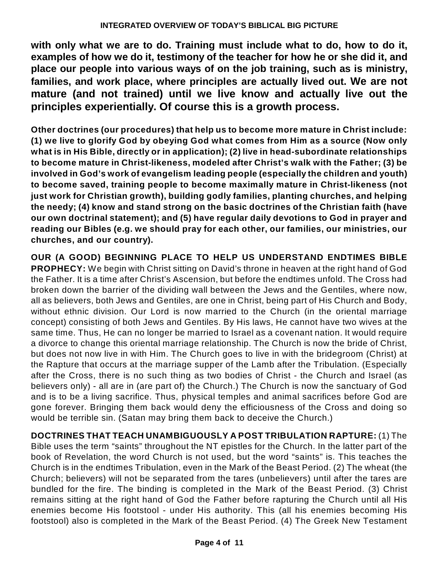**with only what we are to do. Training must include what to do, how to do it, examples of how we do it, testimony of the teacher for how he or she did it, and place our people into various ways of on the job training, such as is ministry, families, and work place, where principles are actually lived out. We are not mature (and not trained) until we live know and actually live out the principles experientially. Of course this is a growth process.**

**Other doctrines (our procedures) that help us to become more mature in Christ include: (1) we live to glorify God by obeying God what comes from Him as a source (Now only what is in His Bible, directly or in application); (2) live in head-subordinate relationships to become mature in Christ-likeness, modeled after Christ's walk with the Father; (3) be involved in God's work of evangelism leading people (especially the children and youth) to become saved, training people to become maximally mature in Christ-likeness (not just work for Christian growth), building godly families, planting churches, and helping the needy; (4) know and stand strong on the basic doctrines of the Christian faith (have our own doctrinal statement); and (5) have regular daily devotions to God in prayer and reading our Bibles (e.g. we should pray for each other, our families, our ministries, our churches, and our country).**

**OUR (A GOOD) BEGINNING PLACE TO HELP US UNDERSTAND ENDTIMES BIBLE PROPHECY:** We begin with Christ sitting on David's throne in heaven at the right hand of God the Father. It is a time after Christ's Ascension, but before the endtimes unfold. The Cross had broken down the barrier of the dividing wall between the Jews and the Gentiles, where now, all as believers, both Jews and Gentiles, are one in Christ, being part of His Church and Body, without ethnic division. Our Lord is now married to the Church (in the oriental marriage concept) consisting of both Jews and Gentiles. By His laws, He cannot have two wives at the same time. Thus, He can no longer be married to Israel as a covenant nation. It would require a divorce to change this oriental marriage relationship. The Church is now the bride of Christ, but does not now live in with Him. The Church goes to live in with the bridegroom (Christ) at the Rapture that occurs at the marriage supper of the Lamb after the Tribulation. (Especially after the Cross, there is no such thing as two bodies of Christ - the Church and Israel (as believers only) - all are in (are part of) the Church.) The Church is now the sanctuary of God and is to be a living sacrifice. Thus, physical temples and animal sacrifices before God are gone forever. Bringing them back would deny the efficiousness of the Cross and doing so would be terrible sin. (Satan may bring them back to deceive the Church.)

**DOCTRINES THAT TEACH UNAMBIGUOUSLY A POST TRIBULATION RAPTURE:** (1) The Bible uses the term "saints" throughout the NT epistles for the Church. In the latter part of the book of Revelation, the word Church is not used, but the word "saints" is. This teaches the Church is in the endtimes Tribulation, even in the Mark of the Beast Period. (2) The wheat (the Church; believers) will not be separated from the tares (unbelievers) until after the tares are bundled for the fire. The binding is completed in the Mark of the Beast Period. (3) Christ remains sitting at the right hand of God the Father before rapturing the Church until all His enemies become His footstool - under His authority. This (all his enemies becoming His footstool) also is completed in the Mark of the Beast Period. (4) The Greek New Testament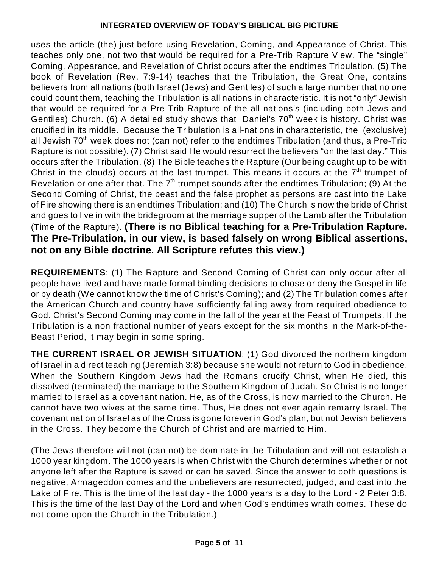uses the article (the) just before using Revelation, Coming, and Appearance of Christ. This teaches only one, not two that would be required for a Pre-Trib Rapture View. The "single" Coming, Appearance, and Revelation of Christ occurs after the endtimes Tribulation. (5) The book of Revelation (Rev. 7:9-14) teaches that the Tribulation, the Great One, contains believers from all nations (both Israel (Jews) and Gentiles) of such a large number that no one could count them, teaching the Tribulation is all nations in characteristic. It is not "only" Jewish that would be required for a Pre-Trib Rapture of the all nations's (including both Jews and Gentiles) Church. (6) A detailed study shows that Daniel's 70<sup>th</sup> week is history. Christ was crucified in its middle. Because the Tribulation is all-nations in characteristic, the (exclusive) all Jewish 70<sup>th</sup> week does not (can not) refer to the endtimes Tribulation (and thus, a Pre-Trib Rapture is not possible). (7) Christ said He would resurrect the believers "on the last day." This occurs after the Tribulation. (8) The Bible teaches the Rapture (Our being caught up to be with Christ in the clouds) occurs at the last trumpet. This means it occurs at the  $7<sup>th</sup>$  trumpet of Revelation or one after that. The  $7<sup>th</sup>$  trumpet sounds after the endtimes Tribulation; (9) At the Second Coming of Christ, the beast and the false prophet as persons are cast into the Lake of Fire showing there is an endtimes Tribulation; and (10) The Church is now the bride of Christ and goes to live in with the bridegroom at the marriage supper of the Lamb after the Tribulation (Time of the Rapture). **(There is no Biblical teaching for a Pre-Tribulation Rapture. The Pre-Tribulation, in our view, is based falsely on wrong Biblical assertions, not on any Bible doctrine. All Scripture refutes this view.)**

**REQUIREMENTS**: (1) The Rapture and Second Coming of Christ can only occur after all people have lived and have made formal binding decisions to chose or deny the Gospel in life or by death (We cannot know the time of Christ's Coming); and (2) The Tribulation comes after the American Church and country have sufficiently falling away from required obedience to God. Christ's Second Coming may come in the fall of the year at the Feast of Trumpets. If the Tribulation is a non fractional number of years except for the six months in the Mark-of-the-Beast Period, it may begin in some spring.

**THE CURRENT ISRAEL OR JEWISH SITUATION**: (1) God divorced the northern kingdom of Israel in a direct teaching (Jeremiah 3:8) because she would not return to God in obedience. When the Southern Kingdom Jews had the Romans crucify Christ, when He died, this dissolved (terminated) the marriage to the Southern Kingdom of Judah. So Christ is no longer married to Israel as a covenant nation. He, as of the Cross, is now married to the Church. He cannot have two wives at the same time. Thus, He does not ever again remarry Israel. The covenant nation of Israel as of the Cross is gone forever in God's plan, but not Jewish believers in the Cross. They become the Church of Christ and are married to Him.

(The Jews therefore will not (can not) be dominate in the Tribulation and will not establish a 1000 year kingdom. The 1000 years is when Christ with the Church determines whether or not anyone left after the Rapture is saved or can be saved. Since the answer to both questions is negative, Armageddon comes and the unbelievers are resurrected, judged, and cast into the Lake of Fire. This is the time of the last day - the 1000 years is a day to the Lord - 2 Peter 3:8. This is the time of the last Day of the Lord and when God's endtimes wrath comes. These do not come upon the Church in the Tribulation.)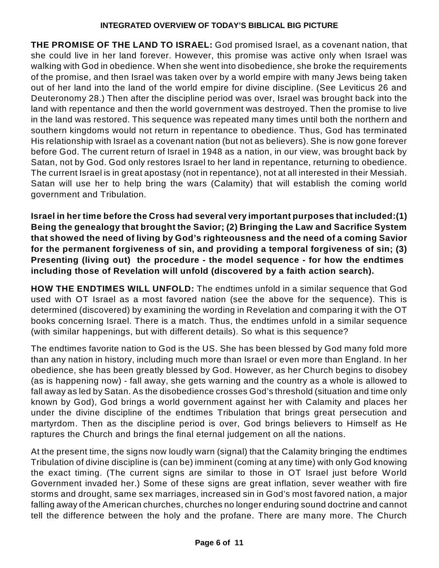**THE PROMISE OF THE LAND TO ISRAEL:** God promised Israel, as a covenant nation, that she could live in her land forever. However, this promise was active only when Israel was walking with God in obedience. When she went into disobedience, she broke the requirements of the promise, and then Israel was taken over by a world empire with many Jews being taken out of her land into the land of the world empire for divine discipline. (See Leviticus 26 and Deuteronomy 28.) Then after the discipline period was over, Israel was brought back into the land with repentance and then the world government was destroyed. Then the promise to live in the land was restored. This sequence was repeated many times until both the northern and southern kingdoms would not return in repentance to obedience. Thus, God has terminated His relationship with Israel as a covenant nation (but not as believers). She is now gone forever before God. The current return of Israel in 1948 as a nation, in our view, was brought back by Satan, not by God. God only restores Israel to her land in repentance, returning to obedience. The current Israel is in great apostasy (not in repentance), not at all interested in their Messiah. Satan will use her to help bring the wars (Calamity) that will establish the coming world government and Tribulation.

**Israel in her time before the Cross had several very important purposes that included:(1) Being the genealogy that brought the Savior; (2) Bringing the Law and Sacrifice System that showed the need of living by God's righteousness and the need of a coming Savior for the permanent forgiveness of sin, and providing a temporal forgiveness of sin; (3) Presenting (living out) the procedure - the model sequence - for how the endtimes including those of Revelation will unfold (discovered by a faith action search).**

**HOW THE ENDTIMES WILL UNFOLD:** The endtimes unfold in a similar sequence that God used with OT Israel as a most favored nation (see the above for the sequence). This is determined (discovered) by examining the wording in Revelation and comparing it with the OT books concerning Israel. There is a match. Thus, the endtimes unfold in a similar sequence (with similar happenings, but with different details). So what is this sequence?

The endtimes favorite nation to God is the US. She has been blessed by God many fold more than any nation in history, including much more than Israel or even more than England. In her obedience, she has been greatly blessed by God. However, as her Church begins to disobey (as is happening now) - fall away, she gets warning and the country as a whole is allowed to fall away as led by Satan. As the disobedience crosses God's threshold (situation and time only known by God), God brings a world government against her with Calamity and places her under the divine discipline of the endtimes Tribulation that brings great persecution and martyrdom. Then as the discipline period is over, God brings believers to Himself as He raptures the Church and brings the final eternal judgement on all the nations.

At the present time, the signs now loudly warn (signal) that the Calamity bringing the endtimes Tribulation of divine discipline is (can be) imminent (coming at any time) with only God knowing the exact timing. (The current signs are similar to those in OT Israel just before World Government invaded her.) Some of these signs are great inflation, sever weather with fire storms and drought, same sex marriages, increased sin in God's most favored nation, a major falling away of the American churches, churches no longer enduring sound doctrine and cannot tell the difference between the holy and the profane. There are many more. The Church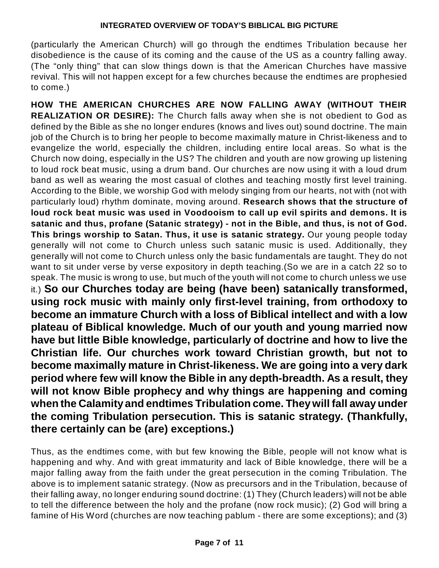(particularly the American Church) will go through the endtimes Tribulation because her disobedience is the cause of its coming and the cause of the US as a country falling away. (The "only thing" that can slow things down is that the American Churches have massive revival. This will not happen except for a few churches because the endtimes are prophesied to come.)

**HOW THE AMERICAN CHURCHES ARE NOW FALLING AWAY (WITHOUT THEIR REALIZATION OR DESIRE):** The Church falls away when she is not obedient to God as defined by the Bible as she no longer endures (knows and lives out) sound doctrine. The main job of the Church is to bring her people to become maximally mature in Christ-likeness and to evangelize the world, especially the children, including entire local areas. So what is the Church now doing, especially in the US? The children and youth are now growing up listening to loud rock beat music, using a drum band. Our churches are now using it with a loud drum band as well as wearing the most casual of clothes and teaching mostly first level training. According to the Bible, we worship God with melody singing from our hearts, not with (not with particularly loud) rhythm dominate, moving around. **Research shows that the structure of loud rock beat music was used in Voodooism to call up evil spirits and demons. It is satanic and thus, profane (Satanic strategy) - not in the Bible, and thus, is not of God. This brings worship to Satan. Thus, it use is satanic strategy.** Our young people today generally will not come to Church unless such satanic music is used. Additionally, they generally will not come to Church unless only the basic fundamentals are taught. They do not want to sit under verse by verse expository in depth teaching.(So we are in a catch 22 so to speak. The music is wrong to use, but much of the youth will not come to church unless we use it.) **So our Churches today are being (have been) satanically transformed, using rock music with mainly only first-level training, from orthodoxy to become an immature Church with a loss of Biblical intellect and with a low plateau of Biblical knowledge. Much of our youth and young married now have but little Bible knowledge, particularly of doctrine and how to live the Christian life. Our churches work toward Christian growth, but not to become maximally mature in Christ-likeness. We are going into a very dark period where few will know the Bible in any depth-breadth. As a result, they will not know Bible prophecy and why things are happening and coming when the Calamity and endtimes Tribulation come. Theywill fall awayunder the coming Tribulation persecution. This is satanic strategy. (Thankfully, there certainly can be (are) exceptions.)**

Thus, as the endtimes come, with but few knowing the Bible, people will not know what is happening and why. And with great immaturity and lack of Bible knowledge, there will be a major falling away from the faith under the great persecution in the coming Tribulation. The above is to implement satanic strategy. (Now as precursors and in the Tribulation, because of their falling away, no longer enduring sound doctrine: (1) They (Church leaders) will not be able to tell the difference between the holy and the profane (now rock music); (2) God will bring a famine of His Word (churches are now teaching pablum - there are some exceptions); and (3)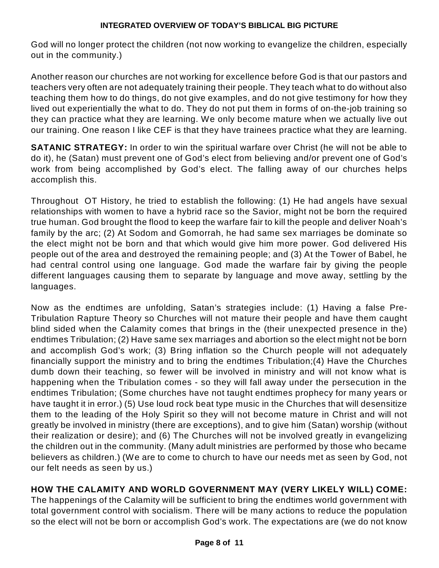God will no longer protect the children (not now working to evangelize the children, especially out in the community.)

Another reason our churches are not working for excellence before God is that our pastors and teachers very often are not adequately training their people. They teach what to do without also teaching them how to do things, do not give examples, and do not give testimony for how they lived out experientially the what to do. They do not put them in forms of on-the-job training so they can practice what they are learning. We only become mature when we actually live out our training. One reason I like CEF is that they have trainees practice what they are learning.

**SATANIC STRATEGY:** In order to win the spiritual warfare over Christ (he will not be able to do it), he (Satan) must prevent one of God's elect from believing and/or prevent one of God's work from being accomplished by God's elect. The falling away of our churches helps accomplish this.

Throughout OT History, he tried to establish the following: (1) He had angels have sexual relationships with women to have a hybrid race so the Savior, might not be born the required true human. God brought the flood to keep the warfare fair to kill the people and deliver Noah's family by the arc; (2) At Sodom and Gomorrah, he had same sex marriages be dominate so the elect might not be born and that which would give him more power. God delivered His people out of the area and destroyed the remaining people; and (3) At the Tower of Babel, he had central control using one language. God made the warfare fair by giving the people different languages causing them to separate by language and move away, settling by the languages.

Now as the endtimes are unfolding, Satan's strategies include: (1) Having a false Pre-Tribulation Rapture Theory so Churches will not mature their people and have them caught blind sided when the Calamity comes that brings in the (their unexpected presence in the) endtimes Tribulation; (2) Have same sex marriages and abortion so the elect might not be born and accomplish God's work; (3) Bring inflation so the Church people will not adequately financially support the ministry and to bring the endtimes Tribulation;(4) Have the Churches dumb down their teaching, so fewer will be involved in ministry and will not know what is happening when the Tribulation comes - so they will fall away under the persecution in the endtimes Tribulation; (Some churches have not taught endtimes prophecy for many years or have taught it in error.) (5) Use loud rock beat type music in the Churches that will desensitize them to the leading of the Holy Spirit so they will not become mature in Christ and will not greatly be involved in ministry (there are exceptions), and to give him (Satan) worship (without their realization or desire); and (6) The Churches will not be involved greatly in evangelizing the children out in the community. (Many adult ministries are performed by those who became believers as children.) (We are to come to church to have our needs met as seen by God, not our felt needs as seen by us.)

### **HOW THE CALAMITY AND WORLD GOVERNMENT MAY (VERY LIKELY WILL) COME:**

The happenings of the Calamity will be sufficient to bring the endtimes world government with total government control with socialism. There will be many actions to reduce the population so the elect will not be born or accomplish God's work. The expectations are (we do not know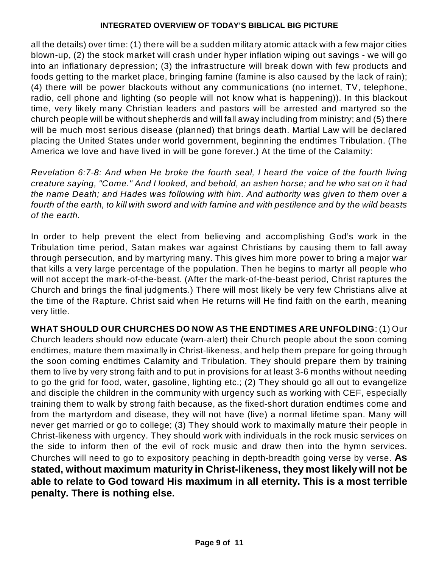all the details) over time: (1) there will be a sudden military atomic attack with a few major cities blown-up, (2) the stock market will crash under hyper inflation wiping out savings - we will go into an inflationary depression; (3) the infrastructure will break down with few products and foods getting to the market place, bringing famine (famine is also caused by the lack of rain); (4) there will be power blackouts without any communications (no internet, TV, telephone, radio, cell phone and lighting (so people will not know what is happening)). In this blackout time, very likely many Christian leaders and pastors will be arrested and martyred so the church people will be without shepherds and will fall away including from ministry; and (5) there will be much most serious disease (planned) that brings death. Martial Law will be declared placing the United States under world government, beginning the endtimes Tribulation. (The America we love and have lived in will be gone forever.) At the time of the Calamity:

*Revelation 6:7-8: And when He broke the fourth seal, I heard the voice of the fourth living creature saying, "Come." And I looked, and behold, an ashen horse; and he who sat on it had the name Death; and Hades was following with him. And authority was given to them over a* fourth of the earth, to kill with sword and with famine and with pestilence and by the wild beasts *of the earth.*

In order to help prevent the elect from believing and accomplishing God's work in the Tribulation time period, Satan makes war against Christians by causing them to fall away through persecution, and by martyring many. This gives him more power to bring a major war that kills a very large percentage of the population. Then he begins to martyr all people who will not accept the mark-of-the-beast. (After the mark-of-the-beast period, Christ raptures the Church and brings the final judgments.) There will most likely be very few Christians alive at the time of the Rapture. Christ said when He returns will He find faith on the earth, meaning very little.

**WHAT SHOULD OUR CHURCHES DO NOW AS THE ENDTIMES ARE UNFOLDING**: (1) Our Church leaders should now educate (warn-alert) their Church people about the soon coming endtimes, mature them maximally in Christ-likeness, and help them prepare for going through the soon coming endtimes Calamity and Tribulation. They should prepare them by training them to live by very strong faith and to put in provisions for at least 3-6 months without needing to go the grid for food, water, gasoline, lighting etc.; (2) They should go all out to evangelize and disciple the children in the community with urgency such as working with CEF, especially training them to walk by strong faith because, as the fixed-short duration endtimes come and from the martyrdom and disease, they will not have (live) a normal lifetime span. Many will never get married or go to college; (3) They should work to maximally mature their people in Christ-likeness with urgency. They should work with individuals in the rock music services on the side to inform then of the evil of rock music and draw then into the hymn services. Churches will need to go to expository peaching in depth-breadth going verse by verse. **As stated, without maximum maturity in Christ-likeness, they most likely will not be able to relate to God toward His maximum in all eternity. This is a most terrible penalty. There is nothing else.**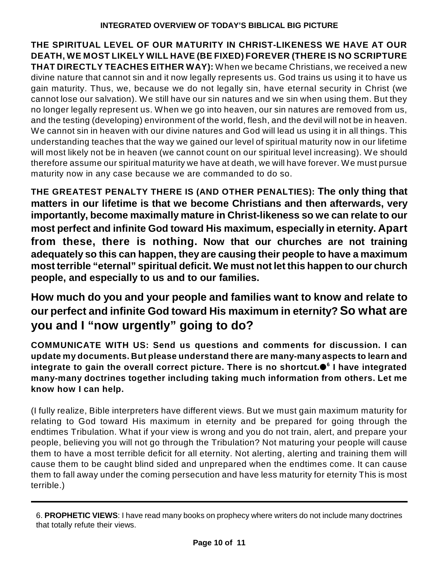**THE SPIRITUAL LEVEL OF OUR MATURITY IN CHRIST-LIKENESS WE HAVE AT OUR DEATH, WE MOST LIKELY WILL HAVE (BE FIXED) FOREVER (THERE IS NO SCRIPTURE THAT DIRECTLY TEACHES EITHER WAY):** When we became Christians, we received a new divine nature that cannot sin and it now legally represents us. God trains us using it to have us gain maturity. Thus, we, because we do not legally sin, have eternal security in Christ (we cannot lose our salvation). We still have our sin natures and we sin when using them. But they no longer legally represent us. When we go into heaven, our sin natures are removed from us, and the testing (developing) environment of the world, flesh, and the devil will not be in heaven. We cannot sin in heaven with our divine natures and God will lead us using it in all things. This understanding teaches that the way we gained our level of spiritual maturity now in our lifetime will most likely not be in heaven (we cannot count on our spiritual level increasing). We should therefore assume our spiritual maturity we have at death, we will have forever. We must pursue maturity now in any case because we are commanded to do so.

**THE GREATEST PENALTY THERE IS (AND OTHER PENALTIES): The only thing that matters in our lifetime is that we become Christians and then afterwards, very importantly, become maximally mature in Christ-likeness so we can relate to our most perfect and infinite God toward His maximum, especially in eternity. Apart from these, there is nothing. Now that our churches are not training adequately so this can happen, they are causing their people to have a maximum most terrible "eternal" spiritual deficit. We must not let this happen to our church people, and especially to us and to our families.**

## **How much do you and your people and families want to know and relate to our perfect and infinite God toward His maximum in eternity? So what are you and I "now urgently" going to do?**

**COMMUNICATE WITH US: Send us questions and comments for discussion. I can update my documents. But please understand there are many-many aspects to learn and integrate to gain the overall correct picture. There is no shortcut. I have integrated 6 many-many doctrines together including taking much information from others. Let me know how I can help.**

(I fully realize, Bible interpreters have different views. But we must gain maximum maturity for relating to God toward His maximum in eternity and be prepared for going through the endtimes Tribulation. What if your view is wrong and you do not train, alert, and prepare your people, believing you will not go through the Tribulation? Not maturing your people will cause them to have a most terrible deficit for all eternity. Not alerting, alerting and training them will cause them to be caught blind sided and unprepared when the endtimes come. It can cause them to fall away under the coming persecution and have less maturity for eternity This is most terrible.)

<sup>6.</sup> **PROPHETIC VIEWS**: I have read many books on prophecy where writers do not include many doctrines that totally refute their views.